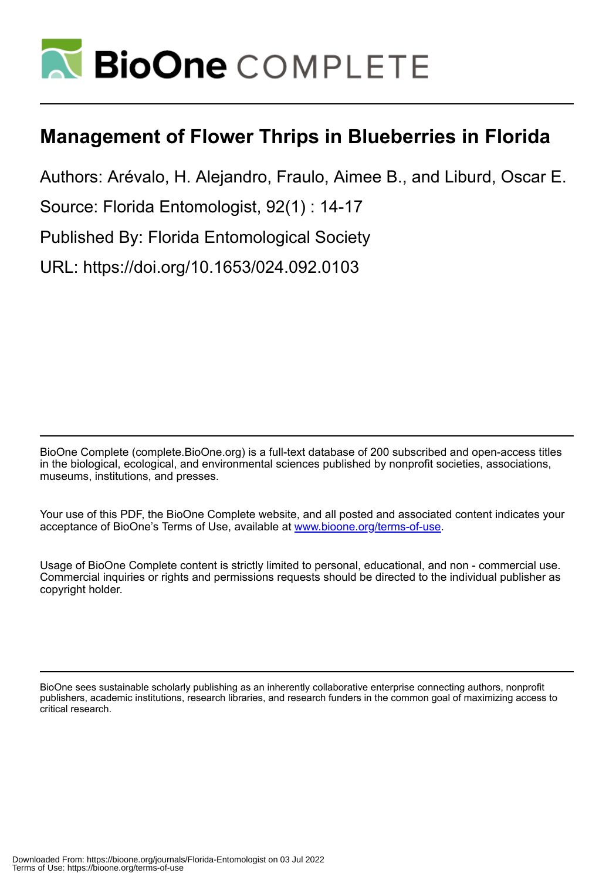

# **Management of Flower Thrips in Blueberries in Florida**

Authors: Arévalo, H. Alejandro, Fraulo, Aimee B., and Liburd, Oscar E.

Source: Florida Entomologist, 92(1) : 14-17

Published By: Florida Entomological Society

URL: https://doi.org/10.1653/024.092.0103

BioOne Complete (complete.BioOne.org) is a full-text database of 200 subscribed and open-access titles in the biological, ecological, and environmental sciences published by nonprofit societies, associations, museums, institutions, and presses.

Your use of this PDF, the BioOne Complete website, and all posted and associated content indicates your acceptance of BioOne's Terms of Use, available at www.bioone.org/terms-of-use.

Usage of BioOne Complete content is strictly limited to personal, educational, and non - commercial use. Commercial inquiries or rights and permissions requests should be directed to the individual publisher as copyright holder.

BioOne sees sustainable scholarly publishing as an inherently collaborative enterprise connecting authors, nonprofit publishers, academic institutions, research libraries, and research funders in the common goal of maximizing access to critical research.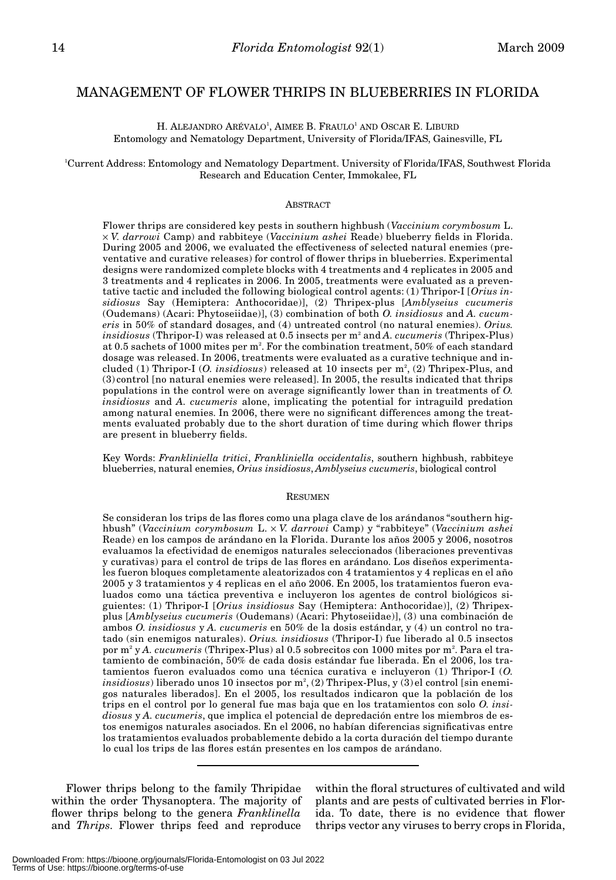# MANAGEMENT OF FLOWER THRIPS IN BLUEBERRIES IN FLORIDA

H. ALEJANDRO ARÉVALO<sup>1</sup>, AIMEE B. FRAULO<sup>1</sup> AND OSCAR E. LIBURD Entomology and Nematology Department, University of Florida/IFAS, Gainesville, FL

# 1 Current Address: Entomology and Nematology Department. University of Florida/IFAS, Southwest Florida Research and Education Center, Immokalee, FL

#### **ABSTRACT**

Flower thrips are considered key pests in southern highbush (*Vaccinium corymbosum* L. × *V. darrowi* Camp) and rabbiteye (*Vaccinium ashei* Reade) blueberry fields in Florida. During 2005 and 2006, we evaluated the effectiveness of selected natural enemies (preventative and curative releases) for control of flower thrips in blueberries. Experimental designs were randomized complete blocks with 4 treatments and 4 replicates in 2005 and 3 treatments and 4 replicates in 2006. In 2005, treatments were evaluated as a preventative tactic and included the following biological control agents: (1) Thripor-I [*Orius insidiosus* Say (Hemiptera: Anthocoridae)], (2) Thripex-plus [*Amblyseius cucumeris* (Oudemans) (Acari: Phytoseiidae)], (3) combination of both *O. insidiosus* and *A. cucumeris* in 50% of standard dosages, and (4) untreated control (no natural enemies). *Orius. insidiosus* (Thripor-I) was released at 0.5 insects per m<sup>2</sup> and *A. cucumeris* (Thripex-Plus) at 0.5 sachets of 1000 mites per  $\mathrm{m}^{2}$ . For the combination treatment, 50% of each standard dosage was released. In 2006, treatments were evaluated as a curative technique and included (1) Thripor-I (O. *insidiosus*) released at 10 insects per m<sup>2</sup>, (2) Thripex-Plus, and (3) control [no natural enemies were released]. In 2005, the results indicated that thrips populations in the control were on average significantly lower than in treatments of *O. insidiosus* and *A. cucumeris* alone, implicating the potential for intraguild predation among natural enemies. In 2006, there were no significant differences among the treatments evaluated probably due to the short duration of time during which flower thrips are present in blueberry fields.

Key Words: *Frankliniella tritici*, *Frankliniella occidentalis*, southern highbush, rabbiteye blueberries, natural enemies, *Orius insidiosus*, *Amblyseius cucumeris*, biological control

#### RESUMEN

Se consideran los trips de las flores como una plaga clave de los arándanos "southern highbush" (*Vaccinium corymbosum* L. × *V. darrowi* Camp) y "rabbiteye" (*Vaccinium ashei* Reade) en los campos de arándano en la Florida. Durante los años 2005 y 2006, nosotros evaluamos la efectividad de enemigos naturales seleccionados (liberaciones preventivas y curativas) para el control de trips de las flores en arándano. Los diseños experimentales fueron bloques completamente aleatorizados con 4 tratamientos y 4 replicas en el año 2005 y 3 tratamientos y 4 replicas en el año 2006. En 2005, los tratamientos fueron evaluados como una táctica preventiva e incluyeron los agentes de control biológicos siguientes: (1) Thripor-I [*Orius insidiosus* Say (Hemiptera: Anthocoridae)], (2) Thripexplus [*Amblyseius cucumeris* (Oudemans) (Acari: Phytoseiidae)], (3) una combinación de ambos *O. insidiosus* y *A. cucumeris* en 50% de la dosis estándar, y (4) un control no tratado (sin enemigos naturales). *Orius. insidiosus* (Thripor-I) fue liberado al 0.5 insectos por m² y *A. cucumeris* (Thripex-Plus) al 0.5 sobrecitos con 1000 mites por m². Para el tratamiento de combinación, 50% de cada dosis estándar fue liberada. En el 2006, los tratamientos fueron evaluados como una técnica curativa e incluyeron (1) Thripor-I (*O.*  $insidiosus)$  liberado unos 10 insectos por m², (2) Thripex-Plus, y (3) el control [sin enemigos naturales liberados]. En el 2005, los resultados indicaron que la población de los trips en el control por lo general fue mas baja que en los tratamientos con solo *O. insidiosus* y *A. cucumeris*, que implica el potencial de depredación entre los miembros de estos enemigos naturales asociados. En el 2006, no habían diferencias significativas entre los tratamientos evaluados probablemente debido a la corta duración del tiempo durante lo cual los trips de las flores están presentes en los campos de arándano.

Flower thrips belong to the family Thripidae within the order Thysanoptera. The majority of flower thrips belong to the genera *Franklinella* and *Thrips*. Flower thrips feed and reproduce

within the floral structures of cultivated and wild plants and are pests of cultivated berries in Florida. To date, there is no evidence that flower thrips vector any viruses to berry crops in Florida,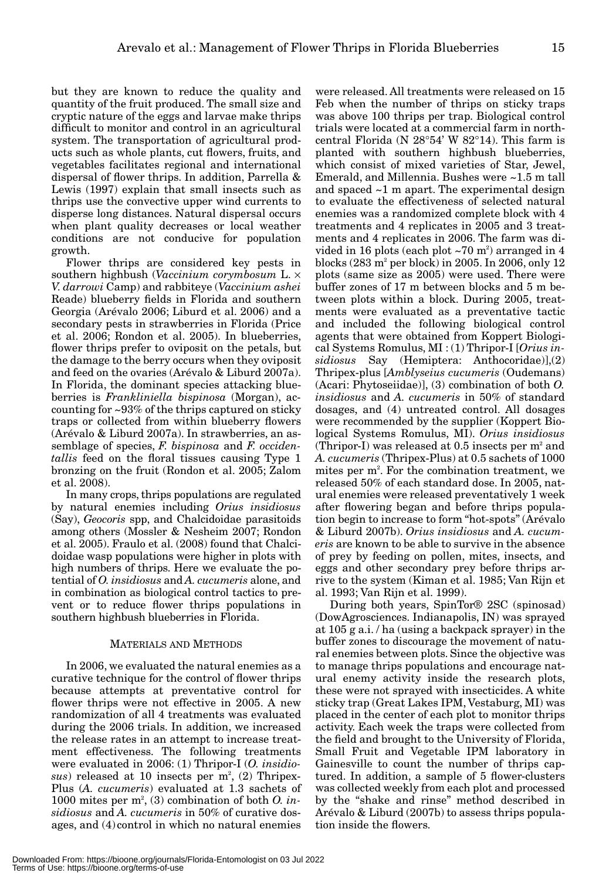but they are known to reduce the quality and quantity of the fruit produced. The small size and cryptic nature of the eggs and larvae make thrips difficult to monitor and control in an agricultural system. The transportation of agricultural products such as whole plants, cut flowers, fruits, and vegetables facilitates regional and international dispersal of flower thrips. In addition, Parrella & Lewis (1997) explain that small insects such as thrips use the convective upper wind currents to disperse long distances. Natural dispersal occurs when plant quality decreases or local weather conditions are not conducive for population growth.

Flower thrips are considered key pests in southern highbush (*Vaccinium corymbosum* L. × *V. darrowi* Camp) and rabbiteye (*Vaccinium ashei* Reade) blueberry fields in Florida and southern Georgia (Arévalo 2006; Liburd et al. 2006) and a secondary pests in strawberries in Florida (Price et al. 2006; Rondon et al. 2005). In blueberries, flower thrips prefer to oviposit on the petals, but the damage to the berry occurs when they oviposit and feed on the ovaries (Arévalo & Liburd 2007a). In Florida, the dominant species attacking blueberries is *Frankliniella bispinosa* (Morgan), accounting for ~93% of the thrips captured on sticky traps or collected from within blueberry flowers (Arévalo & Liburd 2007a). In strawberries, an assemblage of species, *F. bispinosa* and *F. occidentallis* feed on the floral tissues causing Type 1 bronzing on the fruit (Rondon et al. 2005; Zalom et al. 2008).

In many crops, thrips populations are regulated by natural enemies including *Orius insidiosus* (Say), *Geocoris* spp, and Chalcidoidae parasitoids among others (Mossler & Nesheim 2007; Rondon et al. 2005). Fraulo et al. (2008) found that Chalcidoidae wasp populations were higher in plots with high numbers of thrips. Here we evaluate the potential of *O. insidiosus* and *A. cucumeris* alone, and in combination as biological control tactics to prevent or to reduce flower thrips populations in southern highbush blueberries in Florida.

# MATERIALS AND METHODS

In 2006, we evaluated the natural enemies as a curative technique for the control of flower thrips because attempts at preventative control for flower thrips were not effective in 2005. A new randomization of all 4 treatments was evaluated during the 2006 trials. In addition, we increased the release rates in an attempt to increase treatment effectiveness. The following treatments were evaluated in 2006: (1) Thripor-I (*O. insidio*sus) released at 10 insects per m<sup>2</sup>, (2) Thripex-Plus (*A. cucumeris*) evaluated at 1.3 sachets of 1000 mites per  $m^2$ , (3) combination of both *O. insidiosus* and *A. cucumeris* in 50% of curative dosages, and (4)control in which no natural enemies

were released. All treatments were released on 15 Feb when the number of thrips on sticky traps was above 100 thrips per trap. Biological control trials were located at a commercial farm in northcentral Florida (N 28°54' W 82°14). This farm is planted with southern highbush blueberries, which consist of mixed varieties of Star, Jewel, Emerald, and Millennia. Bushes were ~1.5 m tall and spaced ~1 m apart. The experimental design to evaluate the effectiveness of selected natural enemies was a randomized complete block with 4 treatments and 4 replicates in 2005 and 3 treatments and 4 replicates in 2006. The farm was divided in 16 plots (each plot  $\sim$ 70 m<sup>2</sup>) arranged in 4 blocks  $(283 \text{ m}^2 \text{ per block})$  in 2005. In 2006, only 12 plots (same size as 2005) were used. There were buffer zones of 17 m between blocks and 5 m between plots within a block. During 2005, treatments were evaluated as a preventative tactic and included the following biological control agents that were obtained from Koppert Biological Systems Romulus, MI : (1) Thripor-I [*Orius insidiosus* Say (Hemiptera: Anthocoridae)],(2) Thripex-plus [*Amblyseius cucumeris* (Oudemans) (Acari: Phytoseiidae)], (3) combination of both *O. insidiosus* and *A. cucumeris* in 50% of standard dosages, and (4) untreated control. All dosages were recommended by the supplier (Koppert Biological Systems Romulus, MI). *Orius insidiosus* (Thripor-I) was released at  $0.5$  insects per  $m^2$  and *A. cucumeris* (Thripex-Plus) at 0.5 sachets of 1000 mites per m<sup>2</sup>. For the combination treatment, we released 50% of each standard dose. In 2005, natural enemies were released preventatively 1 week after flowering began and before thrips population begin to increase to form "hot-spots" (Arévalo & Liburd 2007b). *Orius insidiosus* and *A. cucumeris* are known to be able to survive in the absence of prey by feeding on pollen, mites, insects, and eggs and other secondary prey before thrips arrive to the system (Kiman et al. 1985; Van Rijn et al. 1993; Van Rijn et al. 1999).

During both years, SpinTor® 2SC (spinosad) (DowAgrosciences. Indianapolis, IN) was sprayed at 105 g a.i. / ha (using a backpack sprayer) in the buffer zones to discourage the movement of natural enemies between plots. Since the objective was to manage thrips populations and encourage natural enemy activity inside the research plots, these were not sprayed with insecticides. A white sticky trap (Great Lakes IPM, Vestaburg, MI) was placed in the center of each plot to monitor thrips activity. Each week the traps were collected from the field and brought to the University of Florida, Small Fruit and Vegetable IPM laboratory in Gainesville to count the number of thrips captured. In addition, a sample of 5 flower-clusters was collected weekly from each plot and processed by the "shake and rinse" method described in Arévalo & Liburd (2007b) to assess thrips population inside the flowers.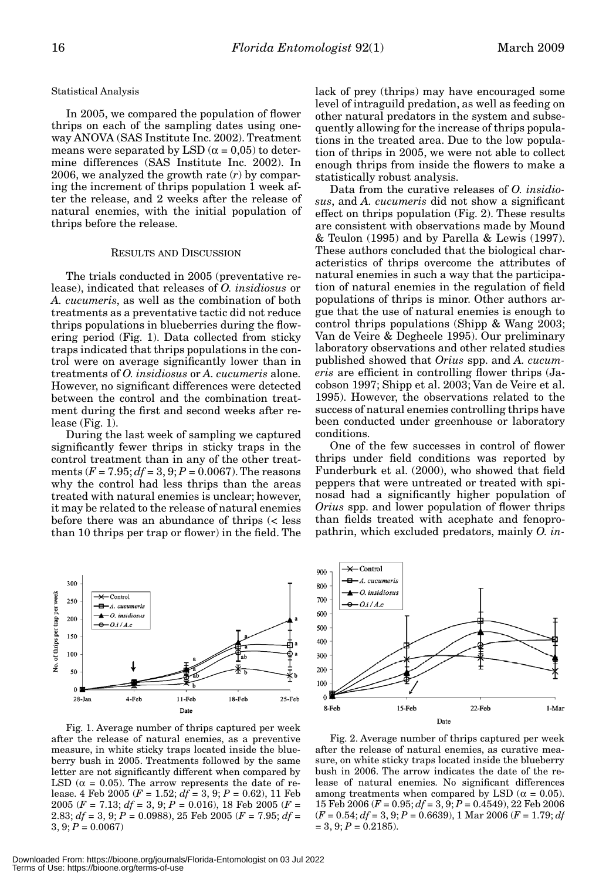Statistical Analysis

In 2005, we compared the population of flower thrips on each of the sampling dates using oneway ANOVA (SAS Institute Inc. 2002). Treatment means were separated by LSD ( $\alpha$  = 0,05) to determine differences (SAS Institute Inc. 2002). In 2006, we analyzed the growth rate (*r*) by comparing the increment of thrips population 1 week after the release, and 2 weeks after the release of natural enemies, with the initial population of thrips before the release.

## RESULTS AND DISCUSSION

The trials conducted in 2005 (preventative release), indicated that releases of *O. insidiosus* or *A. cucumeris*, as well as the combination of both treatments as a preventative tactic did not reduce thrips populations in blueberries during the flowering period (Fig. 1). Data collected from sticky traps indicated that thrips populations in the control were on average significantly lower than in treatments of *O. insidiosus* or *A. cucumeris* alone. However, no significant differences were detected between the control and the combination treatment during the first and second weeks after release (Fig. 1).

During the last week of sampling we captured significantly fewer thrips in sticky traps in the control treatment than in any of the other treatments  $(F = 7.95; df = 3, 9; P = 0.0067)$ . The reasons why the control had less thrips than the areas treated with natural enemies is unclear; however, it may be related to the release of natural enemies before there was an abundance of thrips (< less than 10 thrips per trap or flower) in the field. The



Fig. 1. Average number of thrips captured per week after the release of natural enemies, as a preventive measure, in white sticky traps located inside the blueberry bush in 2005. Treatments followed by the same letter are not significantly different when compared by LSD ( $\alpha$  = 0.05). The arrow represents the date of release. 4 Feb 2005 (*F* = 1.52; *df* = 3, 9; *P* = 0.62), 11 Feb 2005 (*F* = 7.13; *df* = 3, 9; *P* = 0.016), 18 Feb 2005 (*F* = 2.83; *df* = 3, 9; *P* = 0.0988), 25 Feb 2005 (*F* = 7.95; *df* =  $3, 9; P = 0.0067$ 

lack of prey (thrips) may have encouraged some level of intraguild predation, as well as feeding on other natural predators in the system and subsequently allowing for the increase of thrips populations in the treated area. Due to the low population of thrips in 2005, we were not able to collect enough thrips from inside the flowers to make a statistically robust analysis.

Data from the curative releases of *O. insidiosus*, and *A. cucumeris* did not show a significant effect on thrips population (Fig. 2). These results are consistent with observations made by Mound & Teulon (1995) and by Parella & Lewis (1997). These authors concluded that the biological characteristics of thrips overcome the attributes of natural enemies in such a way that the participation of natural enemies in the regulation of field populations of thrips is minor. Other authors argue that the use of natural enemies is enough to control thrips populations (Shipp & Wang 2003; Van de Veire & Degheele 1995). Our preliminary laboratory observations and other related studies published showed that *Orius* spp. and *A. cucumeris* are efficient in controlling flower thrips (Jacobson 1997; Shipp et al. 2003; Van de Veire et al. 1995). However, the observations related to the success of natural enemies controlling thrips have been conducted under greenhouse or laboratory conditions.

One of the few successes in control of flower thrips under field conditions was reported by Funderburk et al. (2000), who showed that field peppers that were untreated or treated with spinosad had a significantly higher population of *Orius* spp. and lower population of flower thrips than fields treated with acephate and fenopropathrin, which excluded predators, mainly *O. in-*



Fig. 2. Average number of thrips captured per week after the release of natural enemies, as curative measure, on white sticky traps located inside the blueberry bush in 2006. The arrow indicates the date of the release of natural enemies. No significant differences among treatments when compared by LSD ( $\alpha = 0.05$ ). 15 Feb 2006 (*F* = 0.95; *df* = 3, 9; *P* = 0.4549), 22 Feb 2006 (*F* = 0.54; *df* = 3, 9; *P* = 0.6639), 1 Mar 2006 (*F* = 1.79; *df*  $= 3, 9; P = 0.2185$ .